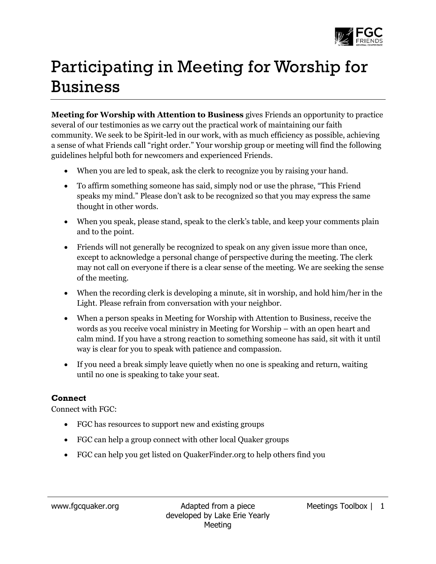

## Participating in Meeting for Worship for Business

**Meeting for Worship with Attention to Business** gives Friends an opportunity to practice several of our testimonies as we carry out the practical work of maintaining our faith community. We seek to be Spirit-led in our work, with as much efficiency as possible, achieving a sense of what Friends call "right order." Your worship group or meeting will find the following guidelines helpful both for newcomers and experienced Friends.

- When you are led to speak, ask the clerk to recognize you by raising your hand.
- To affirm something someone has said, simply nod or use the phrase, "This Friend speaks my mind." Please don't ask to be recognized so that you may express the same thought in other words.
- When you speak, please stand, speak to the clerk's table, and keep your comments plain and to the point.
- Friends will not generally be recognized to speak on any given issue more than once, except to acknowledge a personal change of perspective during the meeting. The clerk may not call on everyone if there is a clear sense of the meeting. We are seeking the sense of the meeting.
- When the recording clerk is developing a minute, sit in worship, and hold him/her in the Light. Please refrain from conversation with your neighbor.
- When a person speaks in Meeting for Worship with Attention to Business, receive the words as you receive vocal ministry in Meeting for Worship – with an open heart and calm mind. If you have a strong reaction to something someone has said, sit with it until way is clear for you to speak with patience and compassion.
- If you need a break simply leave quietly when no one is speaking and return, waiting until no one is speaking to take your seat.

## **Connect**

Connect with FGC:

- FGC has resources to support new and existing groups
- FGC can help a group connect with other local Quaker groups
- FGC can help you get listed on QuakerFinder.org to help others find you